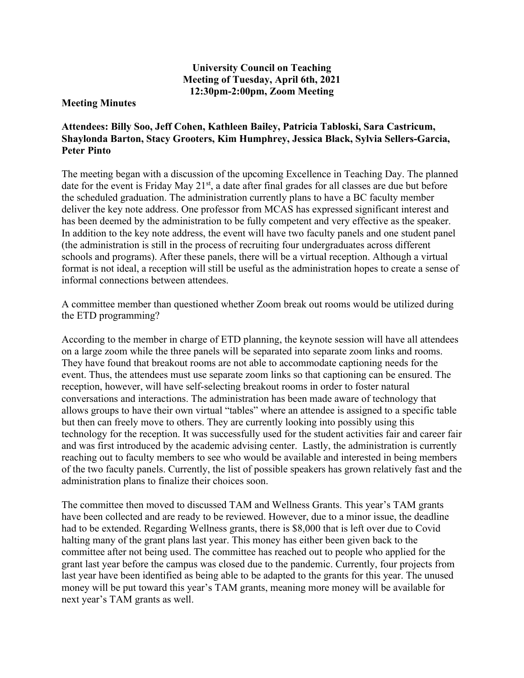## **University Council on Teaching Meeting of Tuesday, April 6th, 2021 12:30pm-2:00pm, Zoom Meeting**

## **Meeting Minutes**

## **Attendees: Billy Soo, Jeff Cohen, Kathleen Bailey, Patricia Tabloski, Sara Castricum, Shaylonda Barton, Stacy Grooters, Kim Humphrey, Jessica Black, Sylvia Sellers-Garcia, Peter Pinto**

The meeting began with a discussion of the upcoming Excellence in Teaching Day. The planned date for the event is Friday May 21<sup>st</sup>, a date after final grades for all classes are due but before the scheduled graduation. The administration currently plans to have a BC faculty member deliver the key note address. One professor from MCAS has expressed significant interest and has been deemed by the administration to be fully competent and very effective as the speaker. In addition to the key note address, the event will have two faculty panels and one student panel (the administration is still in the process of recruiting four undergraduates across different schools and programs). After these panels, there will be a virtual reception. Although a virtual format is not ideal, a reception will still be useful as the administration hopes to create a sense of informal connections between attendees.

A committee member than questioned whether Zoom break out rooms would be utilized during the ETD programming?

According to the member in charge of ETD planning, the keynote session will have all attendees on a large zoom while the three panels will be separated into separate zoom links and rooms. They have found that breakout rooms are not able to accommodate captioning needs for the event. Thus, the attendees must use separate zoom links so that captioning can be ensured. The reception, however, will have self-selecting breakout rooms in order to foster natural conversations and interactions. The administration has been made aware of technology that allows groups to have their own virtual "tables" where an attendee is assigned to a specific table but then can freely move to others. They are currently looking into possibly using this technology for the reception. It was successfully used for the student activities fair and career fair and was first introduced by the academic advising center. Lastly, the administration is currently reaching out to faculty members to see who would be available and interested in being members of the two faculty panels. Currently, the list of possible speakers has grown relatively fast and the administration plans to finalize their choices soon.

The committee then moved to discussed TAM and Wellness Grants. This year's TAM grants have been collected and are ready to be reviewed. However, due to a minor issue, the deadline had to be extended. Regarding Wellness grants, there is \$8,000 that is left over due to Covid halting many of the grant plans last year. This money has either been given back to the committee after not being used. The committee has reached out to people who applied for the grant last year before the campus was closed due to the pandemic. Currently, four projects from last year have been identified as being able to be adapted to the grants for this year. The unused money will be put toward this year's TAM grants, meaning more money will be available for next year's TAM grants as well.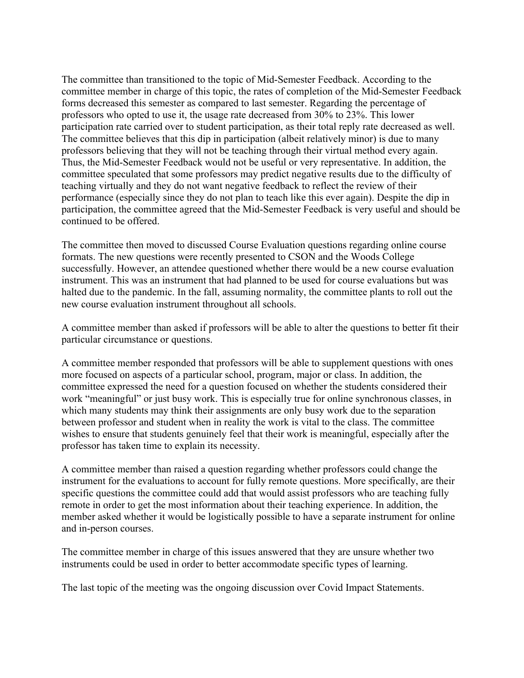The committee than transitioned to the topic of Mid-Semester Feedback. According to the committee member in charge of this topic, the rates of completion of the Mid-Semester Feedback forms decreased this semester as compared to last semester. Regarding the percentage of professors who opted to use it, the usage rate decreased from 30% to 23%. This lower participation rate carried over to student participation, as their total reply rate decreased as well. The committee believes that this dip in participation (albeit relatively minor) is due to many professors believing that they will not be teaching through their virtual method every again. Thus, the Mid-Semester Feedback would not be useful or very representative. In addition, the committee speculated that some professors may predict negative results due to the difficulty of teaching virtually and they do not want negative feedback to reflect the review of their performance (especially since they do not plan to teach like this ever again). Despite the dip in participation, the committee agreed that the Mid-Semester Feedback is very useful and should be continued to be offered.

The committee then moved to discussed Course Evaluation questions regarding online course formats. The new questions were recently presented to CSON and the Woods College successfully. However, an attendee questioned whether there would be a new course evaluation instrument. This was an instrument that had planned to be used for course evaluations but was halted due to the pandemic. In the fall, assuming normality, the committee plants to roll out the new course evaluation instrument throughout all schools.

A committee member than asked if professors will be able to alter the questions to better fit their particular circumstance or questions.

A committee member responded that professors will be able to supplement questions with ones more focused on aspects of a particular school, program, major or class. In addition, the committee expressed the need for a question focused on whether the students considered their work "meaningful" or just busy work. This is especially true for online synchronous classes, in which many students may think their assignments are only busy work due to the separation between professor and student when in reality the work is vital to the class. The committee wishes to ensure that students genuinely feel that their work is meaningful, especially after the professor has taken time to explain its necessity.

A committee member than raised a question regarding whether professors could change the instrument for the evaluations to account for fully remote questions. More specifically, are their specific questions the committee could add that would assist professors who are teaching fully remote in order to get the most information about their teaching experience. In addition, the member asked whether it would be logistically possible to have a separate instrument for online and in-person courses.

The committee member in charge of this issues answered that they are unsure whether two instruments could be used in order to better accommodate specific types of learning.

The last topic of the meeting was the ongoing discussion over Covid Impact Statements.